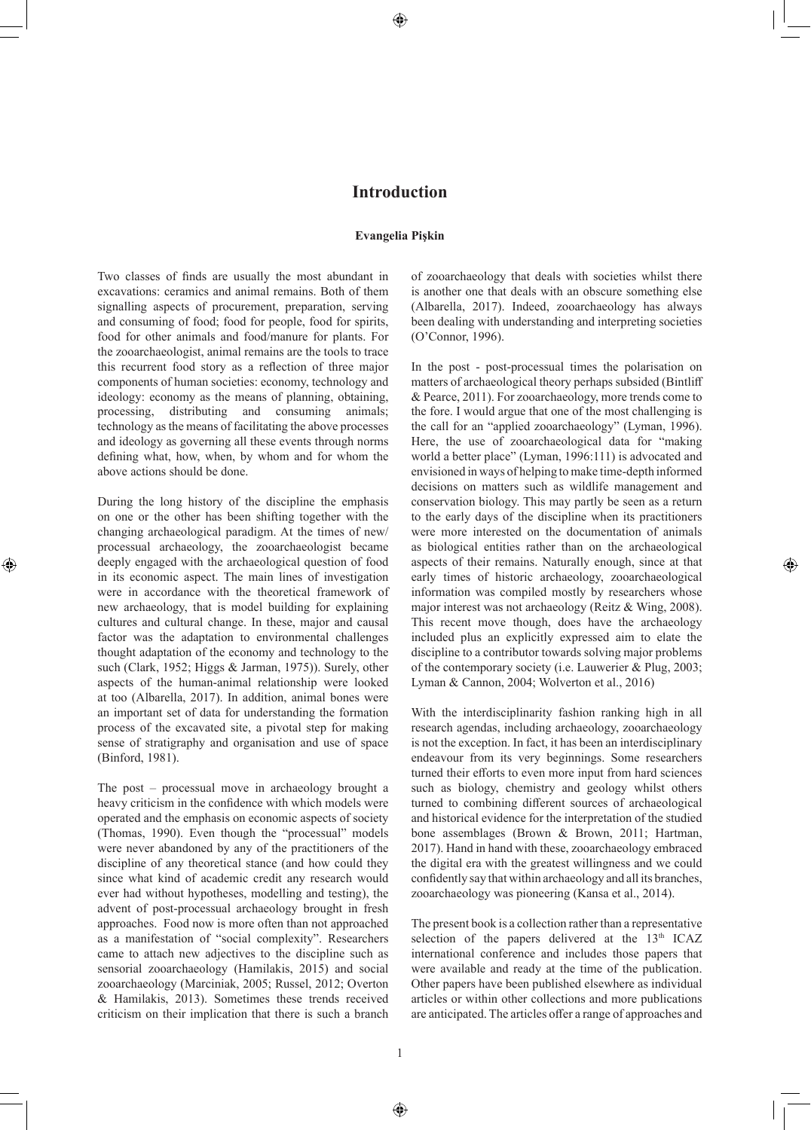⊕

## **Introduction**

## **Evangelia Pişkin**

Two classes of finds are usually the most abundant in excavations: ceramics and animal remains. Both of them signalling aspects of procurement, preparation, serving and consuming of food; food for people, food for spirits, food for other animals and food/manure for plants. For the zooarchaeologist, animal remains are the tools to trace this recurrent food story as a reflection of three major components of human societies: economy, technology and ideology: economy as the means of planning, obtaining, processing, distributing and consuming animals; technology as the means of facilitating the above processes and ideology as governing all these events through norms defining what, how, when, by whom and for whom the above actions should be done.

During the long history of the discipline the emphasis on one or the other has been shifting together with the changing archaeological paradigm. At the times of new/ processual archaeology, the zooarchaeologist became deeply engaged with the archaeological question of food in its economic aspect. The main lines of investigation were in accordance with the theoretical framework of new archaeology, that is model building for explaining cultures and cultural change. In these, major and causal factor was the adaptation to environmental challenges thought adaptation of the economy and technology to the such (Clark, 1952; Higgs & Jarman, 1975)). Surely, other aspects of the human-animal relationship were looked at too (Albarella, 2017). In addition, animal bones were an important set of data for understanding the formation process of the excavated site, a pivotal step for making sense of stratigraphy and organisation and use of space (Binford, 1981).

⊕

The post – processual move in archaeology brought a heavy criticism in the confidence with which models were operated and the emphasis on economic aspects of society (Thomas, 1990). Even though the "processual" models were never abandoned by any of the practitioners of the discipline of any theoretical stance (and how could they since what kind of academic credit any research would ever had without hypotheses, modelling and testing), the advent of post-processual archaeology brought in fresh approaches. Food now is more often than not approached as a manifestation of "social complexity". Researchers came to attach new adjectives to the discipline such as sensorial zooarchaeology (Hamilakis, 2015) and social zooarchaeology (Marciniak, 2005; Russel, 2012; Overton & Hamilakis, 2013). Sometimes these trends received criticism on their implication that there is such a branch

of zooarchaeology that deals with societies whilst there is another one that deals with an obscure something else (Albarella, 2017). Indeed, zooarchaeology has always been dealing with understanding and interpreting societies (O'Connor, 1996).

In the post - post-processual times the polarisation on matters of archaeological theory perhaps subsided (Bintliff & Pearce, 2011). For zooarchaeology, more trends come to the fore. I would argue that one of the most challenging is the call for an "applied zooarchaeology" (Lyman, 1996). Here, the use of zooarchaeological data for "making world a better place" (Lyman, 1996:111) is advocated and envisioned in ways of helping to make time-depth informed decisions on matters such as wildlife management and conservation biology. This may partly be seen as a return to the early days of the discipline when its practitioners were more interested on the documentation of animals as biological entities rather than on the archaeological aspects of their remains. Naturally enough, since at that early times of historic archaeology, zooarchaeological information was compiled mostly by researchers whose major interest was not archaeology (Reitz & Wing, 2008). This recent move though, does have the archaeology included plus an explicitly expressed aim to elate the discipline to a contributor towards solving major problems of the contemporary society (i.e. Lauwerier & Plug, 2003; Lyman & Cannon, 2004; Wolverton et al., 2016)

◈

With the interdisciplinarity fashion ranking high in all research agendas, including archaeology, zooarchaeology is not the exception. In fact, it has been an interdisciplinary endeavour from its very beginnings. Some researchers turned their efforts to even more input from hard sciences such as biology, chemistry and geology whilst others turned to combining different sources of archaeological and historical evidence for the interpretation of the studied bone assemblages (Brown & Brown, 2011; Hartman, 2017). Hand in hand with these, zooarchaeology embraced the digital era with the greatest willingness and we could confidently say that within archaeology and all its branches, zooarchaeology was pioneering (Kansa et al., 2014).

The present book is a collection rather than a representative selection of the papers delivered at the 13<sup>th</sup> ICAZ international conference and includes those papers that were available and ready at the time of the publication. Other papers have been published elsewhere as individual articles or within other collections and more publications are anticipated. The articles offer a range of approaches and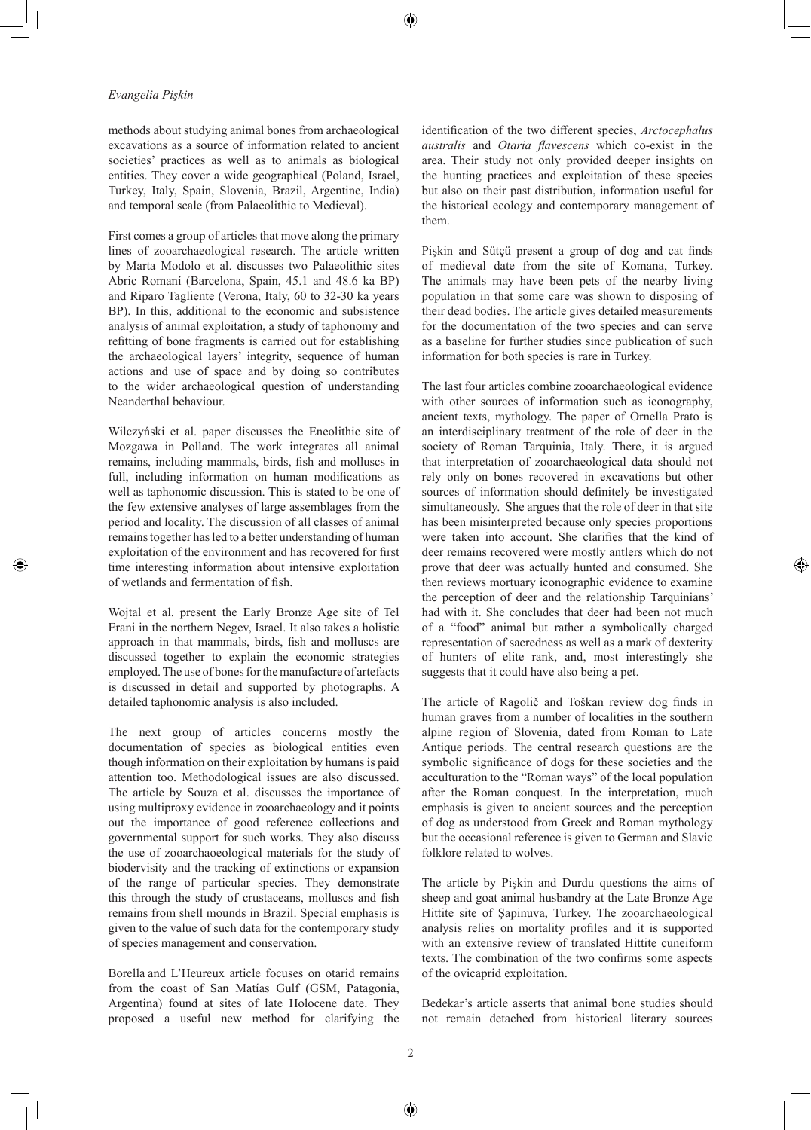₩

## *Evangelia Pişkin*

methods about studying animal bones from archaeological excavations as a source of information related to ancient societies' practices as well as to animals as biological entities. They cover a wide geographical (Poland, Israel, Turkey, Italy, Spain, Slovenia, Brazil, Argentine, India) and temporal scale (from Palaeolithic to Medieval).

First comes a group of articles that move along the primary lines of zooarchaeological research. The article written by Marta Modolo et al. discusses two Palaeolithic sites Abric Romaní (Barcelona, Spain, 45.1 and 48.6 ka BP) and Riparo Tagliente (Verona, Italy, 60 to 32-30 ka years BP). In this, additional to the economic and subsistence analysis of animal exploitation, a study of taphonomy and refitting of bone fragments is carried out for establishing the archaeological layers' integrity, sequence of human actions and use of space and by doing so contributes to the wider archaeological question of understanding Neanderthal behaviour.

Wilczyński et al. paper discusses the Eneolithic site of Mozgawa in Polland. The work integrates all animal remains, including mammals, birds, fish and molluscs in full, including information on human modifications as well as taphonomic discussion. This is stated to be one of the few extensive analyses of large assemblages from the period and locality. The discussion of all classes of animal remains together has led to a better understanding of human exploitation of the environment and has recovered for first time interesting information about intensive exploitation of wetlands and fermentation of fish.

Wojtal et al. present the Early Bronze Age site of Tel Erani in the northern Negev, Israel. It also takes a holistic approach in that mammals, birds, fish and molluscs are discussed together to explain the economic strategies employed. The use of bones for the manufacture of artefacts is discussed in detail and supported by photographs. A detailed taphonomic analysis is also included.

The next group of articles concerns mostly the documentation of species as biological entities even though information on their exploitation by humans is paid attention too. Methodological issues are also discussed. The article by Souza et al. discusses the importance of using multiproxy evidence in zooarchaeology and it points out the importance of good reference collections and governmental support for such works. They also discuss the use of zooarchaoeological materials for the study of biodervisity and the tracking of extinctions or expansion of the range of particular species. They demonstrate this through the study of crustaceans, molluscs and fish remains from shell mounds in Brazil. Special emphasis is given to the value of such data for the contemporary study of species management and conservation.

Borella and L'Heureux article focuses on otarid remains from the coast of San Matías Gulf (GSM, Patagonia, Argentina) found at sites of late Holocene date. They proposed a useful new method for clarifying the identification of the two different species, *Arctocephalus australis* and *Otaria flavescens* which co-exist in the area. Their study not only provided deeper insights on the hunting practices and exploitation of these species but also on their past distribution, information useful for the historical ecology and contemporary management of them.

Pişkin and Sütçü present a group of dog and cat finds of medieval date from the site of Komana, Turkey. The animals may have been pets of the nearby living population in that some care was shown to disposing of their dead bodies. The article gives detailed measurements for the documentation of the two species and can serve as a baseline for further studies since publication of such information for both species is rare in Turkey.

The last four articles combine zooarchaeological evidence with other sources of information such as iconography, ancient texts, mythology. The paper of Ornella Prato is an interdisciplinary treatment of the role of deer in the society of Roman Tarquinia, Italy. There, it is argued that interpretation of zooarchaeological data should not rely only on bones recovered in excavations but other sources of information should definitely be investigated simultaneously. She argues that the role of deer in that site has been misinterpreted because only species proportions were taken into account. She clarifies that the kind of deer remains recovered were mostly antlers which do not prove that deer was actually hunted and consumed. She then reviews mortuary iconographic evidence to examine the perception of deer and the relationship Tarquinians' had with it. She concludes that deer had been not much of a "food" animal but rather a symbolically charged representation of sacredness as well as a mark of dexterity of hunters of elite rank, and, most interestingly she suggests that it could have also being a pet.

⊕

The article of Ragolič and Toškan review dog finds in human graves from a number of localities in the southern alpine region of Slovenia, dated from Roman to Late Antique periods. The central research questions are the symbolic significance of dogs for these societies and the acculturation to the "Roman ways" of the local population after the Roman conquest. In the interpretation, much emphasis is given to ancient sources and the perception of dog as understood from Greek and Roman mythology but the occasional reference is given to German and Slavic folklore related to wolves.

The article by Pişkin and Durdu questions the aims of sheep and goat animal husbandry at the Late Bronze Age Hittite site of Şapinuva, Turkey. The zooarchaeological analysis relies on mortality profiles and it is supported with an extensive review of translated Hittite cuneiform texts. The combination of the two confirms some aspects of the ovicaprid exploitation.

Bedekar's article asserts that animal bone studies should not remain detached from historical literary sources

♠